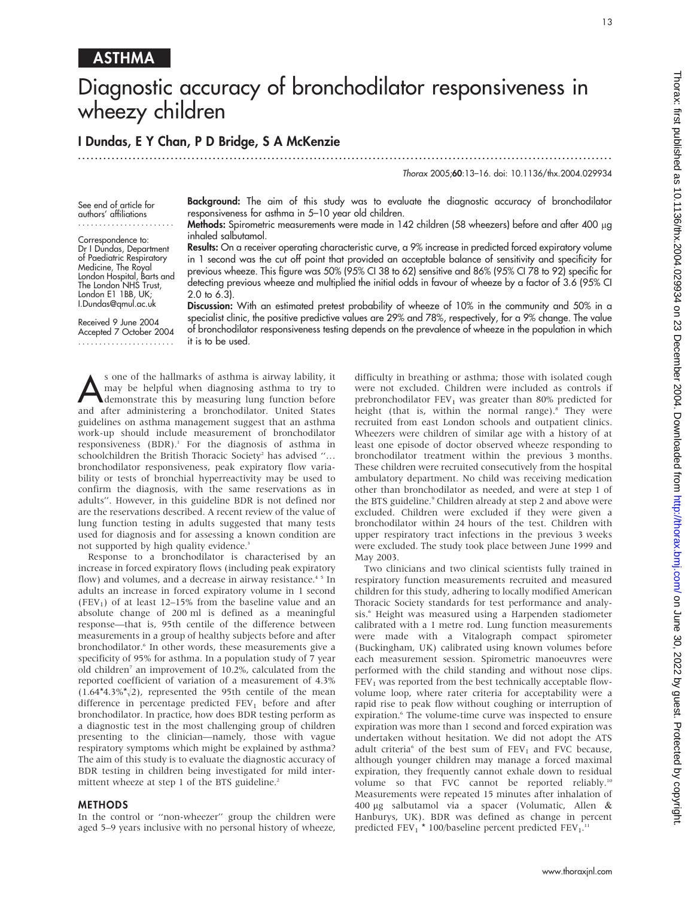## ASTHMA

# Diagnostic accuracy of bronchodilator responsiveness in wheezy children

### I Dundas, E Y Chan, P D Bridge, S A McKenzie

...............................................................................................................................

Thorax 2005;60:13–16. doi: 10.1136/thx.2004.029934

See end of article for authors' affiliations .......................

Correspondence to: Dr I Dundas, Department of Paediatric Respiratory Medicine, The Royal London Hospital, Barts and The London NHS Trust, London E1 1BB, UK; I.Dundas@qmul.ac.uk

Received 9 June 2004 Accepted 7 October 2004 .......................

Background: The aim of this study was to evaluate the diagnostic accuracy of bronchodilator responsiveness for asthma in 5–10 year old children.

Methods: Spirometric measurements were made in 142 children (58 wheezers) before and after 400 µg inhaled salbutamol.

Results: On a receiver operating characteristic curve, a 9% increase in predicted forced expiratory volume in 1 second was the cut off point that provided an acceptable balance of sensitivity and specificity for previous wheeze. This figure was 50% (95% CI 38 to 62) sensitive and 86% (95% CI 78 to 92) specific for detecting previous wheeze and multiplied the initial odds in favour of wheeze by a factor of 3.6 (95% CI 2.0 to 6.3).

Discussion: With an estimated pretest probability of wheeze of 10% in the community and 50% in a specialist clinic, the positive predictive values are 29% and 78%, respectively, for a 9% change. The value of bronchodilator responsiveness testing depends on the prevalence of wheeze in the population in which it is to be used.

Sone of the hallmarks of asthma is airway lability, it may be helpful when diagnosing asthma to try to demonstrate this by measuring lung function before may be helpful when diagnosing asthma to try to and after administering a bronchodilator. United States guidelines on asthma management suggest that an asthma work-up should include measurement of bronchodilator responsiveness  $(BDR)^{1}$ . For the diagnosis of asthma in schoolchildren the British Thoracic Society<sup>2</sup> has advised "... bronchodilator responsiveness, peak expiratory flow variability or tests of bronchial hyperreactivity may be used to confirm the diagnosis, with the same reservations as in adults''. However, in this guideline BDR is not defined nor are the reservations described. A recent review of the value of lung function testing in adults suggested that many tests used for diagnosis and for assessing a known condition are not supported by high quality evidence.<sup>3</sup>

Response to a bronchodilator is characterised by an increase in forced expiratory flows (including peak expiratory flow) and volumes, and a decrease in airway resistance.<sup>45</sup> In adults an increase in forced expiratory volume in 1 second (FEV<sub>1</sub>) of at least 12–15% from the baseline value and an absolute change of 200 ml is defined as a meaningful response—that is, 95th centile of the difference between measurements in a group of healthy subjects before and after bronchodilator.<sup>6</sup> In other words, these measurements give a specificity of 95% for asthma. In a population study of 7 year old children<sup>7</sup> an improvement of 10.2%, calculated from the reported coefficient of variation of a measurement of 4.3%  $(1.64*4.3\%/2)$ , represented the 95th centile of the mean difference in percentage predicted  $FEV<sub>1</sub>$  before and after bronchodilator. In practice, how does BDR testing perform as a diagnostic test in the most challenging group of children presenting to the clinician—namely, those with vague respiratory symptoms which might be explained by asthma? The aim of this study is to evaluate the diagnostic accuracy of BDR testing in children being investigated for mild intermittent wheeze at step 1 of the BTS guideline.<sup>2</sup>

#### **METHODS**

In the control or ''non-wheezer'' group the children were aged 5–9 years inclusive with no personal history of wheeze, difficulty in breathing or asthma; those with isolated cough were not excluded. Children were included as controls if prebronchodilator  $FEV<sub>1</sub>$  was greater than 80% predicted for height (that is, within the normal range).<sup>8</sup> They were recruited from east London schools and outpatient clinics. Wheezers were children of similar age with a history of at least one episode of doctor observed wheeze responding to bronchodilator treatment within the previous 3 months. These children were recruited consecutively from the hospital ambulatory department. No child was receiving medication other than bronchodilator as needed, and were at step 1 of the BTS guideline.<sup>9</sup> Children already at step 2 and above were excluded. Children were excluded if they were given a bronchodilator within 24 hours of the test. Children with upper respiratory tract infections in the previous 3 weeks were excluded. The study took place between June 1999 and May 2003.

Two clinicians and two clinical scientists fully trained in respiratory function measurements recruited and measured children for this study, adhering to locally modified American Thoracic Society standards for test performance and analysis.<sup>6</sup> Height was measured using a Harpenden stadiometer calibrated with a 1 metre rod. Lung function measurements were made with a Vitalograph compact spirometer (Buckingham, UK) calibrated using known volumes before each measurement session. Spirometric manoeuvres were performed with the child standing and without nose clips.  $FEV<sub>1</sub>$  was reported from the best technically acceptable flowvolume loop, where rater criteria for acceptability were a rapid rise to peak flow without coughing or interruption of expiration.<sup>6</sup> The volume-time curve was inspected to ensure expiration was more than 1 second and forced expiration was undertaken without hesitation. We did not adopt the ATS adult criteria<sup>6</sup> of the best sum of  $FEV<sub>1</sub>$  and FVC because, although younger children may manage a forced maximal expiration, they frequently cannot exhale down to residual volume so that FVC cannot be reported reliably.<sup>10</sup> Measurements were repeated 15 minutes after inhalation of 400 mg salbutamol via a spacer (Volumatic, Allen & Hanburys, UK). BDR was defined as change in percent predicted  $FEV_1 * 100/b$ aseline percent predicted  $FEV_1$ .<sup>11</sup>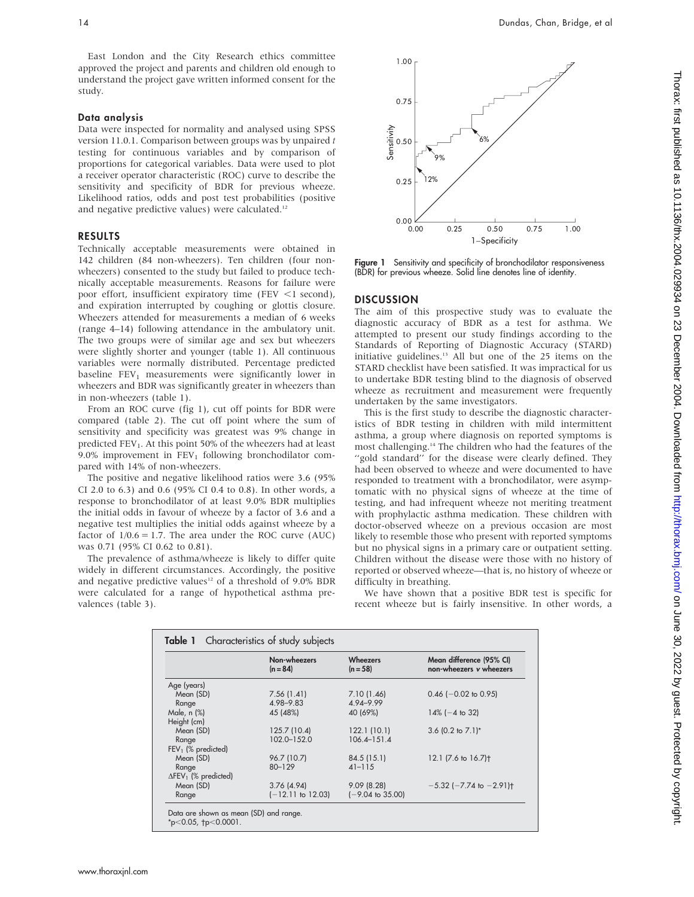East London and the City Research ethics committee approved the project and parents and children old enough to understand the project gave written informed consent for the study.

#### Data analysis

Data were inspected for normality and analysed using SPSS version 11.0.1. Comparison between groups was by unpaired t testing for continuous variables and by comparison of proportions for categorical variables. Data were used to plot a receiver operator characteristic (ROC) curve to describe the sensitivity and specificity of BDR for previous wheeze. Likelihood ratios, odds and post test probabilities (positive and negative predictive values) were calculated.<sup>12</sup>

#### RESULTS

Technically acceptable measurements were obtained in 142 children (84 non-wheezers). Ten children (four nonwheezers) consented to the study but failed to produce technically acceptable measurements. Reasons for failure were poor effort, insufficient expiratory time (FEV  $\leq$ 1 second), and expiration interrupted by coughing or glottis closure. Wheezers attended for measurements a median of 6 weeks (range 4–14) following attendance in the ambulatory unit. The two groups were of similar age and sex but wheezers were slightly shorter and younger (table 1). All continuous variables were normally distributed. Percentage predicted baseline  $FEV<sub>1</sub>$  measurements were significantly lower in wheezers and BDR was significantly greater in wheezers than in non-wheezers (table 1).

From an ROC curve (fig 1), cut off points for BDR were compared (table 2). The cut off point where the sum of sensitivity and specificity was greatest was 9% change in predicted  $FEV<sub>1</sub>$ . At this point 50% of the wheezers had at least 9.0% improvement in  $FEV<sub>1</sub>$  following bronchodilator compared with 14% of non-wheezers.

The positive and negative likelihood ratios were 3.6 (95% CI 2.0 to 6.3) and 0.6 (95% CI 0.4 to 0.8). In other words, a response to bronchodilator of at least 9.0% BDR multiplies the initial odds in favour of wheeze by a factor of 3.6 and a negative test multiplies the initial odds against wheeze by a factor of  $1/0.6 = 1.7$ . The area under the ROC curve (AUC) was 0.71 (95% CI 0.62 to 0.81).

The prevalence of asthma/wheeze is likely to differ quite widely in different circumstances. Accordingly, the positive and negative predictive values<sup>12</sup> of a threshold of 9.0% BDR were calculated for a range of hypothetical asthma prevalences (table 3).



Figure 1 Sensitivity and specificity of bronchodilator responsiveness (BDR) for previous wheeze. Solid line denotes line of identity.

#### **DISCUSSION**

The aim of this prospective study was to evaluate the diagnostic accuracy of BDR as a test for asthma. We attempted to present our study findings according to the Standards of Reporting of Diagnostic Accuracy (STARD) initiative guidelines.<sup>13</sup> All but one of the 25 items on the STARD checklist have been satisfied. It was impractical for us to undertake BDR testing blind to the diagnosis of observed wheeze as recruitment and measurement were frequently undertaken by the same investigators.

This is the first study to describe the diagnostic characteristics of BDR testing in children with mild intermittent asthma, a group where diagnosis on reported symptoms is most challenging.14 The children who had the features of the ''gold standard'' for the disease were clearly defined. They had been observed to wheeze and were documented to have responded to treatment with a bronchodilator, were asymptomatic with no physical signs of wheeze at the time of testing, and had infrequent wheeze not meriting treatment with prophylactic asthma medication. These children with doctor-observed wheeze on a previous occasion are most likely to resemble those who present with reported symptoms but no physical signs in a primary care or outpatient setting. Children without the disease were those with no history of reported or observed wheeze—that is, no history of wheeze or difficulty in breathing.

We have shown that a positive BDR test is specific for recent wheeze but is fairly insensitive. In other words, a

|                                         | Non-wheezers<br>$(n = 84)$ | <b>Wheezers</b><br>$(n = 58)$ | Mean difference (95% CI)<br>non-wheezers v wheezers |
|-----------------------------------------|----------------------------|-------------------------------|-----------------------------------------------------|
| Age (years)                             |                            |                               |                                                     |
| Mean (SD)                               | 7.56(1.41)                 | 7.10(1.46)                    | $0.46$ (-0.02 to 0.95)                              |
| Range                                   | 4.98-9.83                  | 4.94-9.99                     |                                                     |
| Male, n (%)                             | 45 (48%)                   | 40 (69%)                      | $14\%$ (-4 to 32)                                   |
| Height (cm)                             |                            |                               |                                                     |
| Mean (SD)                               | 125.7 (10.4)               | 122.1(10.1)                   | 3.6 $(0.2 \text{ to } 7.1)^*$                       |
| Range                                   | 102.0-152.0                | $106.4 - 151.4$               |                                                     |
| $FEV1$ (% predicted)                    |                            |                               |                                                     |
| Mean (SD)                               | 96.7 (10.7)                | 84.5 (15.1)                   | 12.1 (7.6 to 16.7) <sup>+</sup>                     |
| Range                                   | $80 - 129$                 | $41 - 115$                    |                                                     |
| $\Delta$ FEV <sub>1</sub> (% predicted) |                            |                               |                                                     |
| Mean (SD)                               | 3.76(4.94)                 | 9.09(8.28)                    | $-5.32$ ( $-7.74$ to $-2.91$ ) <sup>+</sup>         |
| Range                                   | $(-12.11$ to 12.03)        | $(-9.04 \text{ to } 35.00)$   |                                                     |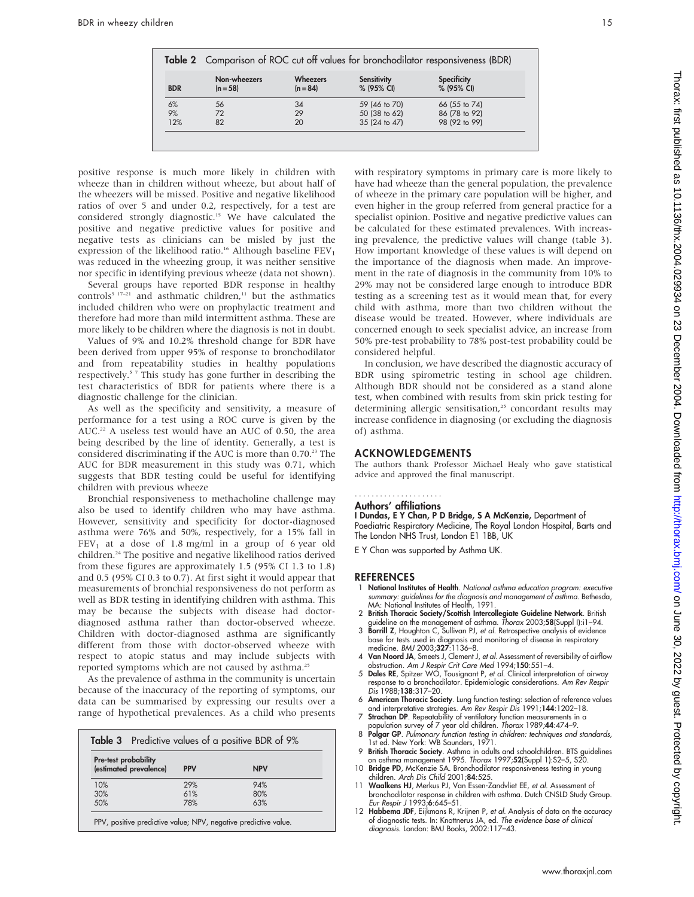|            | Table 2 Comparison of ROC cut off values for bronchodilator responsiveness (BDR) |                               |                                  |                                  |  |  |
|------------|----------------------------------------------------------------------------------|-------------------------------|----------------------------------|----------------------------------|--|--|
| <b>BDR</b> | Non-wheezers<br>$(n = 58)$                                                       | <b>Wheezers</b><br>$(n = 84)$ | <b>Sensitivity</b><br>% (95% CI) | <b>Specificity</b><br>% (95% CI) |  |  |
| 6%         | 56                                                                               | 34                            | 59 (46 to 70)                    | 66 (55 to 74)                    |  |  |
| 9%         | 72                                                                               | 29                            | 50 (38 to 62)                    | 86 (78 to 92)                    |  |  |
| 12%        | 82                                                                               | 20                            | 35 (24 to 47)                    | 98 (92 to 99)                    |  |  |

positive response is much more likely in children with wheeze than in children without wheeze, but about half of the wheezers will be missed. Positive and negative likelihood ratios of over 5 and under 0.2, respectively, for a test are considered strongly diagnostic.15 We have calculated the positive and negative predictive values for positive and negative tests as clinicians can be misled by just the expression of the likelihood ratio.<sup>16</sup> Although baseline  $FEV<sub>1</sub>$ was reduced in the wheezing group, it was neither sensitive nor specific in identifying previous wheeze (data not shown).

Several groups have reported BDR response in healthy controls<sup>5 17-21</sup> and asthmatic children,<sup>11</sup> but the asthmatics included children who were on prophylactic treatment and therefore had more than mild intermittent asthma. These are more likely to be children where the diagnosis is not in doubt.

Values of 9% and 10.2% threshold change for BDR have been derived from upper 95% of response to bronchodilator and from repeatability studies in healthy populations respectively.<sup>57</sup> This study has gone further in describing the test characteristics of BDR for patients where there is a diagnostic challenge for the clinician.

As well as the specificity and sensitivity, a measure of performance for a test using a ROC curve is given by the AUC.<sup>22</sup> A useless test would have an AUC of 0.50, the area being described by the line of identity. Generally, a test is considered discriminating if the AUC is more than 0.70.<sup>23</sup> The AUC for BDR measurement in this study was 0.71, which suggests that BDR testing could be useful for identifying children with previous wheeze

Bronchial responsiveness to methacholine challenge may also be used to identify children who may have asthma. However, sensitivity and specificity for doctor-diagnosed asthma were 76% and 50%, respectively, for a 15% fall in  $FEV<sub>1</sub>$  at a dose of 1.8 mg/ml in a group of 6 year old children.24 The positive and negative likelihood ratios derived from these figures are approximately 1.5 (95% CI 1.3 to 1.8) and 0.5 (95% CI 0.3 to 0.7). At first sight it would appear that measurements of bronchial responsiveness do not perform as well as BDR testing in identifying children with asthma. This may be because the subjects with disease had doctordiagnosed asthma rather than doctor-observed wheeze. Children with doctor-diagnosed asthma are significantly different from those with doctor-observed wheeze with respect to atopic status and may include subjects with reported symptoms which are not caused by asthma.<sup>25</sup>

As the prevalence of asthma in the community is uncertain because of the inaccuracy of the reporting of symptoms, our data can be summarised by expressing our results over a range of hypothetical prevalences. As a child who presents

| <b>Pre-test probability</b> |            |            |  |  |  |
|-----------------------------|------------|------------|--|--|--|
| (estimated prevalence)      | <b>PPV</b> | <b>NPV</b> |  |  |  |
| 10%                         | 29%        | 94%        |  |  |  |
| 30%                         | 61%        | 80%        |  |  |  |
| 50%                         | 78%        | 6.3%       |  |  |  |

with respiratory symptoms in primary care is more likely to have had wheeze than the general population, the prevalence of wheeze in the primary care population will be higher, and even higher in the group referred from general practice for a specialist opinion. Positive and negative predictive values can be calculated for these estimated prevalences. With increasing prevalence, the predictive values will change (table 3). How important knowledge of these values is will depend on the importance of the diagnosis when made. An improvement in the rate of diagnosis in the community from 10% to 29% may not be considered large enough to introduce BDR testing as a screening test as it would mean that, for every child with asthma, more than two children without the disease would be treated. However, where individuals are concerned enough to seek specialist advice, an increase from 50% pre-test probability to 78% post-test probability could be considered helpful.

In conclusion, we have described the diagnostic accuracy of BDR using spirometric testing in school age children. Although BDR should not be considered as a stand alone test, when combined with results from skin prick testing for determining allergic sensitisation,<sup>25</sup> concordant results may increase confidence in diagnosing (or excluding the diagnosis of) asthma.

#### ACKNOWLEDGEMENTS

The authors thank Professor Michael Healy who gave statistical advice and approved the final manuscript.

#### Authors' affiliations .....................

I Dundas, E Y Chan, P D Bridge, S A McKenzie, Department of Paediatric Respiratory Medicine, The Royal London Hospital, Barts and The London NHS Trust, London E1 1BB, UK

E Y Chan was supported by Asthma UK.

#### **REFERENCES**

- National Institutes of Health. National asthma education program: executive summary: guidelines for the diagnosis and management of asthma. Bethesda,
- MA: National Institutes of Health, 1991.<br>2 British Thoracic Society/Scottish Intercollegiate Guideline Network. British<br>guideline on the management of asthma. Thorax 2003;58(Suppl I):i1–94.<br>3 Borrill Z, Houghton C, Sulliva
- base for tests used in diagnosis and monitoring of disease in respiratory medicine. BMJ 2003;327:1136–8.
- 4 Van Noord JA, Smeets J, Clement J, et al. Assessment of reversibility of airflow obstruction. Am J Respir Crit Care Med 1994;150:551–4.
- 5 Dales RE, Spitzer WO, Tousignant P, et al. Clinical interpretation of airway response to a bronchodilator. Epidemiologic considerations. Am Rev Respir Dis 1988;138:317–20.
- 6 American Thoracic Society. Lung function testing: selection of reference values and interpretative strategies. Am Rev Respir Dis 1991;144:1202–18.
- 7 Strachan DP. Repeatability of ventilatory function measurements in a pulation survey of 7 year old children. Thorax 1989;44:474-9.
- 8 Polgar GP. Pulmonary function testing in children: techniques and standards, 1st ed. New York: WB Saunders, 1971.
- 9 British Thoracic Society. Asthma in adults and schoolchildren. BTS guidelines on asthma management 1995. Thorax 1997;52(Suppl 1):S2–5, S20.
- 10 Bridge PD, McKenzie SA. Bronchodilator responsiveness testing in young children. Arch Dis Child 2001;84:525.
- 11 Waalkens HJ, Merkus PJ, Van Essen-Zandvliet EE, et al. Assessment of bronchodilator response in children with asthma. Dutch CNSLD Study Group. Eur Respir J 1993;6:645–51.
- 12 Habbema JDF, Eijkmans R, Krijnen P, et al. Analysis of data on the accuracy of diagnostic tests. In: Knottnerus JA, ed. The evidence base of clinical diagnosis. London: BMJ Books, 2002:117–43.